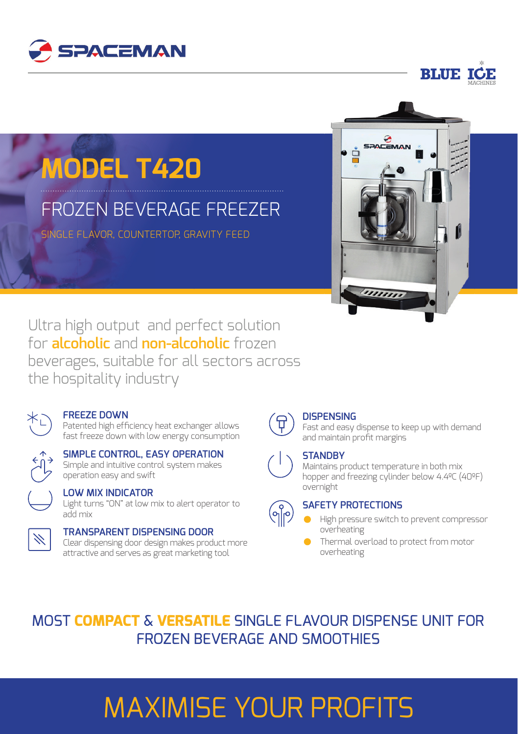



# **MODEL T420**

## FROZEN BEVERAGE FREEZER

SINGLE FLAVOR, COUNTERTOP, GRAVITY FEED



Ultra high output and perfect solution for **alcoholic** and **non-alcoholic** frozen beverages, suitable for all sectors across the hospitality industry



#### **FREEZE DOWN**

Patented high efficiency heat exchanger allows fast freeze down with low energy consumption

#### **SIMPLE CONTROL, EASY OPERATION** Simple and intuitive control system makes operation easy and swift



#### **LOW MIX INDICATOR**

Light turns "ON" at low mix to alert operator to add mix



#### **TRANSPARENT DISPENSING DOOR**

Clear dispensing door design makes product more attractive and serves as great marketing tool



#### **DISPENSING**

Fast and easy dispense to keep up with demand and maintain profit margins

#### **STANDBY**

Maintains product temperature in both mix hopper and freezing cylinder below 4.4ºC (40ºF) overnight



#### **SAFETY PROTECTIONS**

- High pressure switch to prevent compressor overheating
- Thermal overload to protect from motor overheating



## MAXIMISE YOUR PROFITS